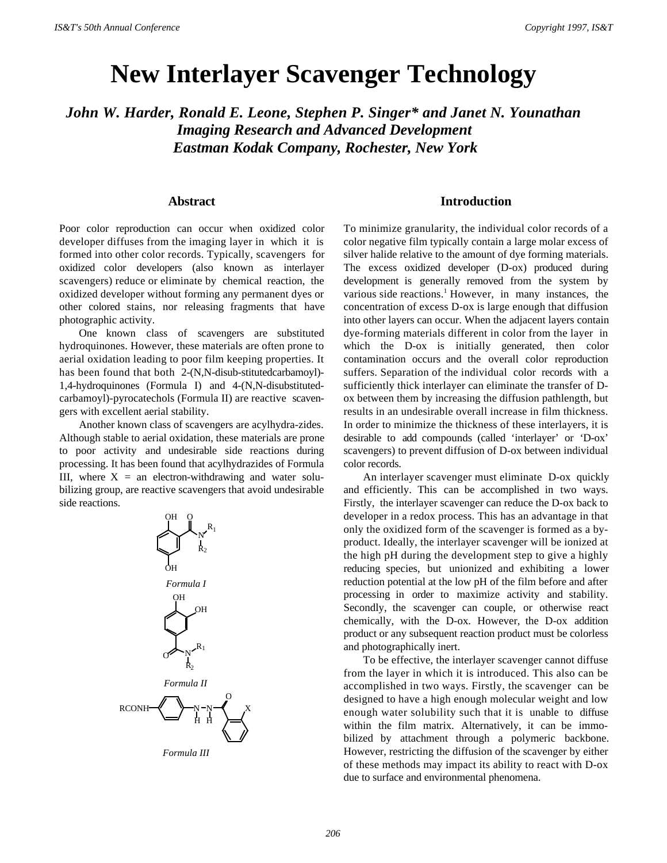# **New Interlayer Scavenger Technology**

*John W. Harder, Ronald E. Leone, Stephen P. Singer\* and Janet N. Younathan Imaging Research and Advanced Development Eastman Kodak Company, Rochester, New York*

#### **Abstract**

Poor color reproduction can occur when oxidized color developer diffuses from the imaging layer in which it is formed into other color records. Typically, scavengers for oxidized color developers (also known as interlayer scavengers) reduce or eliminate by chemical reaction, the oxidized developer without forming any permanent dyes or other colored stains, nor releasing fragments that have photographic activity.

One known class of scavengers are substituted hydroquinones. However, these materials are often prone to aerial oxidation leading to poor film keeping properties. It has been found that both 2-(N,N-disub-stitutedcarbamoyl)-1,4-hydroquinones (Formula I) and 4-(N,N-disubstitutedcarbamoyl)-pyrocatechols (Formula II) are reactive scavengers with excellent aerial stability.

Another known class of scavengers are acylhydra-zides. Although stable to aerial oxidation, these materials are prone to poor activity and undesirable side reactions during processing. It has been found that acylhydrazides of Formula III, where  $X = an$  electron-withdrawing and water solubilizing group, are reactive scavengers that avoid undesirable side reactions.



#### **Introduction**

To minimize granularity, the individual color records of a color negative film typically contain a large molar excess of silver halide relative to the amount of dye forming materials. The excess oxidized developer (D-ox) produced during development is generally removed from the system by various side reactions.<sup>1</sup> However, in many instances, the concentration of excess D-ox is large enough that diffusion into other layers can occur. When the adjacent layers contain dye-forming materials different in color from the layer in which the D-ox is initially generated, then color contamination occurs and the overall color reproduction suffers. Separation of the individual color records with a sufficiently thick interlayer can eliminate the transfer of Dox between them by increasing the diffusion pathlength, but results in an undesirable overall increase in film thickness. In order to minimize the thickness of these interlayers, it is desirable to add compounds (called 'interlayer' or 'D-ox' scavengers) to prevent diffusion of D-ox between individual color records.

An interlayer scavenger must eliminate D-ox quickly and efficiently. This can be accomplished in two ways. Firstly, the interlayer scavenger can reduce the D-ox back to developer in a redox process. This has an advantage in that only the oxidized form of the scavenger is formed as a byproduct. Ideally, the interlayer scavenger will be ionized at the high pH during the development step to give a highly reducing species, but unionized and exhibiting a lower reduction potential at the low pH of the film before and after processing in order to maximize activity and stability. Secondly, the scavenger can couple, or otherwise react chemically, with the D-ox. However, the D-ox addition product or any subsequent reaction product must be colorless and photographically inert.

To be effective, the interlayer scavenger cannot diffuse from the layer in which it is introduced. This also can be accomplished in two ways. Firstly, the scavenger can be designed to have a high enough molecular weight and low enough water solubility such that it is unable to diffuse within the film matrix. Alternatively, it can be immobilized by attachment through a polymeric backbone. However, restricting the diffusion of the scavenger by either of these methods may impact its ability to react with D-ox due to surface and environmental phenomena.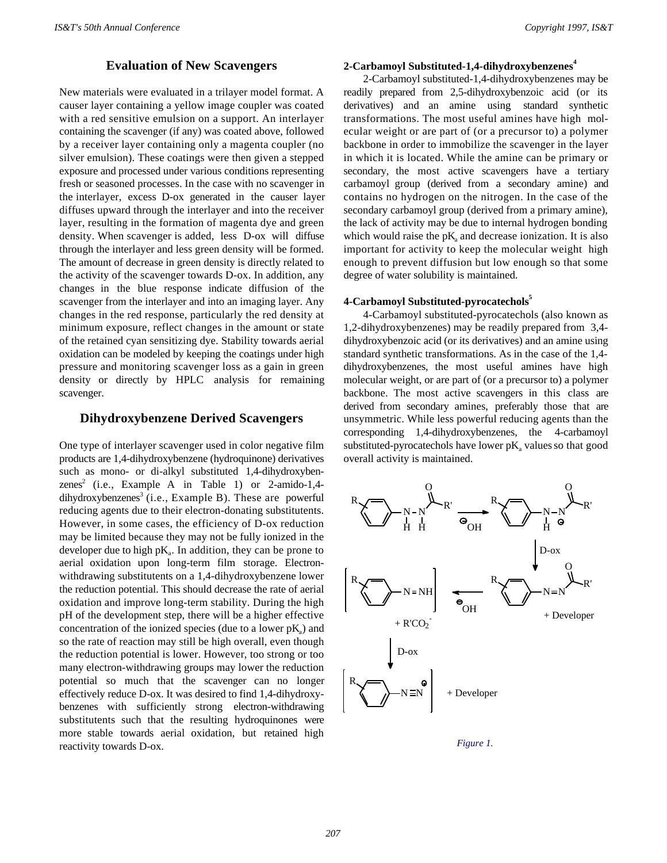### **Evaluation of New Scavengers**

New materials were evaluated in a trilayer model format. A causer layer containing a yellow image coupler was coated with a red sensitive emulsion on a support. An interlayer containing the scavenger (if any) was coated above, followed by a receiver layer containing only a magenta coupler (no silver emulsion). These coatings were then given a stepped exposure and processed under various conditions representing fresh or seasoned processes. In the case with no scavenger in the interlayer, excess D-ox generated in the causer layer diffuses upward through the interlayer and into the receiver layer, resulting in the formation of magenta dye and green density. When scavenger is added, less D-ox will diffuse through the interlayer and less green density will be formed. The amount of decrease in green density is directly related to the activity of the scavenger towards D-ox. In addition, any changes in the blue response indicate diffusion of the scavenger from the interlayer and into an imaging layer. Any changes in the red response, particularly the red density at minimum exposure, reflect changes in the amount or state of the retained cyan sensitizing dye. Stability towards aerial oxidation can be modeled by keeping the coatings under high pressure and monitoring scavenger loss as a gain in green density or directly by HPLC analysis for remaining scavenger.

#### **Dihydroxybenzene Derived Scavengers**

One type of interlayer scavenger used in color negative film products are 1,4-dihydroxybenzene (hydroquinone) derivatives such as mono- or di-alkyl substituted 1,4-dihydroxybenzenes<sup>2</sup> (i.e., Example A in Table 1) or 2-amido-1,4dihydroxybenzenes<sup>3</sup> (i.e., Example B). These are powerful reducing agents due to their electron-donating substitutents. However, in some cases, the efficiency of D-ox reduction may be limited because they may not be fully ionized in the developer due to high  $pK_a$ . In addition, they can be prone to aerial oxidation upon long-term film storage. Electronwithdrawing substitutents on a 1,4-dihydroxybenzene lower the reduction potential. This should decrease the rate of aerial oxidation and improve long-term stability. During the high pH of the development step, there will be a higher effective concentration of the ionized species (due to a lower  $pK_a$ ) and so the rate of reaction may still be high overall, even though the reduction potential is lower. However, too strong or too many electron-withdrawing groups may lower the reduction potential so much that the scavenger can no longer effectively reduce D-ox. It was desired to find 1,4-dihydroxybenzenes with sufficiently strong electron-withdrawing substitutents such that the resulting hydroquinones were more stable towards aerial oxidation, but retained high reactivity towards D-ox.

### **2-Carbamoyl Substituted-1,4-dihydroxybenzenes<sup>4</sup>**

2-Carbamoyl substituted-1,4-dihydroxybenzenes may be readily prepared from 2,5-dihydroxybenzoic acid (or its derivatives) and an amine using standard synthetic transformations. The most useful amines have high molecular weight or are part of (or a precursor to) a polymer backbone in order to immobilize the scavenger in the layer in which it is located. While the amine can be primary or secondary, the most active scavengers have a tertiary carbamoyl group (derived from a secondary amine) and contains no hydrogen on the nitrogen. In the case of the secondary carbamoyl group (derived from a primary amine), the lack of activity may be due to internal hydrogen bonding which would raise the  $pK_a$  and decrease ionization. It is also important for activity to keep the molecular weight high enough to prevent diffusion but low enough so that some degree of water solubility is maintained.

#### **4-Carbamoyl Substituted-pyrocatechols<sup>5</sup>**

4-Carbamoyl substituted-pyrocatechols (also known as 1,2-dihydroxybenzenes) may be readily prepared from 3,4 dihydroxybenzoic acid (or its derivatives) and an amine using standard synthetic transformations. As in the case of the 1,4 dihydroxybenzenes, the most useful amines have high molecular weight, or are part of (or a precursor to) a polymer backbone. The most active scavengers in this class are derived from secondary amines, preferably those that are unsymmetric. While less powerful reducing agents than the corresponding 1,4-dihydroxybenzenes, the 4-carbamoyl substituted-pyrocate chols have lower  $pK$ , values so that good overall activity is maintained.



*Figure 1.*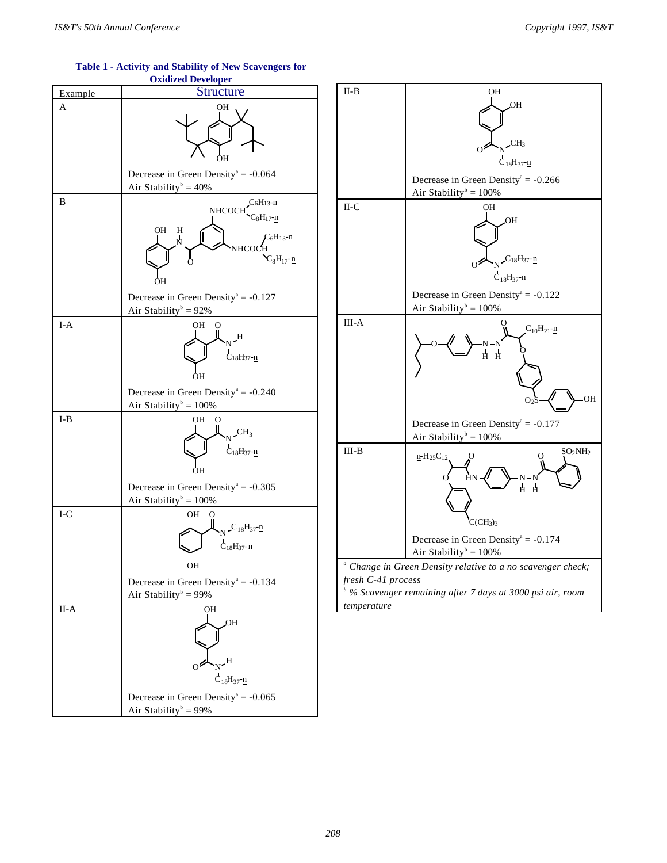